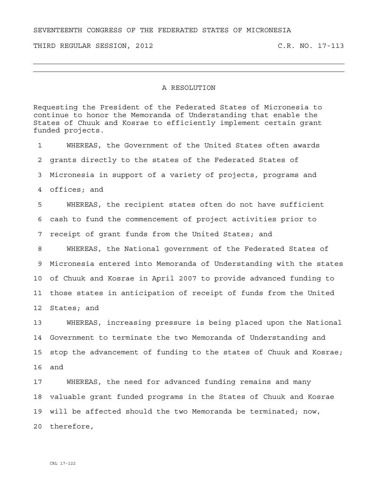SEVENTEENTH CONGRESS OF THE FEDERATED STATES OF MICRONESIA

THIRD REGULAR SESSION, 2012 C.R. NO. 17-113

## A RESOLUTION

Requesting the President of the Federated States of Micronesia to continue to honor the Memoranda of Understanding that enable the States of Chuuk and Kosrae to efficiently implement certain grant funded projects.

1 WHEREAS, the Government of the United States often awards 2 grants directly to the states of the Federated States of 3 Micronesia in support of a variety of projects, programs and 4 offices; and 5 WHEREAS, the recipient states often do not have sufficient 6 cash to fund the commencement of project activities prior to 7 receipt of grant funds from the United States; and 8 WHEREAS, the National government of the Federated States of 9 Micronesia entered into Memoranda of Understanding with the states 10 of Chuuk and Kosrae in April 2007 to provide advanced funding to 11 those states in anticipation of receipt of funds from the United 12 States; and 13 WHEREAS, increasing pressure is being placed upon the National

14 Government to terminate the two Memoranda of Understanding and 15 stop the advancement of funding to the states of Chuuk and Kosrae; 16 and

17 WHEREAS, the need for advanced funding remains and many 18 valuable grant funded programs in the States of Chuuk and Kosrae 19 will be affected should the two Memoranda be terminated; now, 20 therefore,